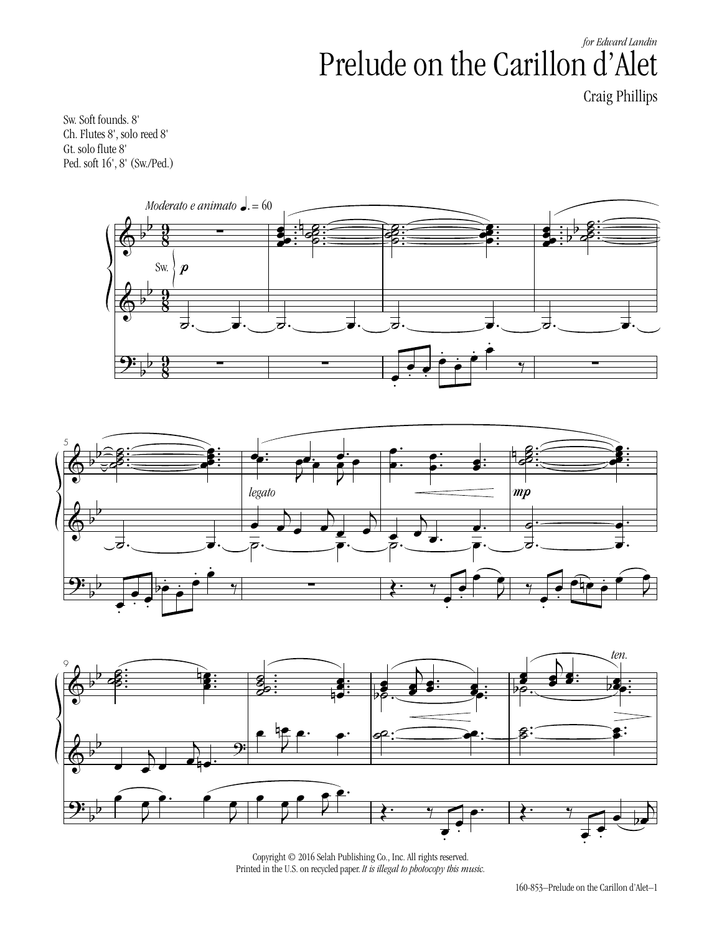## Prelude on the Carillon d'Alet *for Edward Landin*

Sw. Soft founds. 8' Ch. Flutes 8', solo reed 8' Gt. solo flute 8' Ped. soft 16', 8' (Sw./Ped.)







Copyright © 2016 Selah Publishing Co., Inc. All rights reserved. Printed in the U.S. on recycled paper. *It is illegal to photocopy this music.*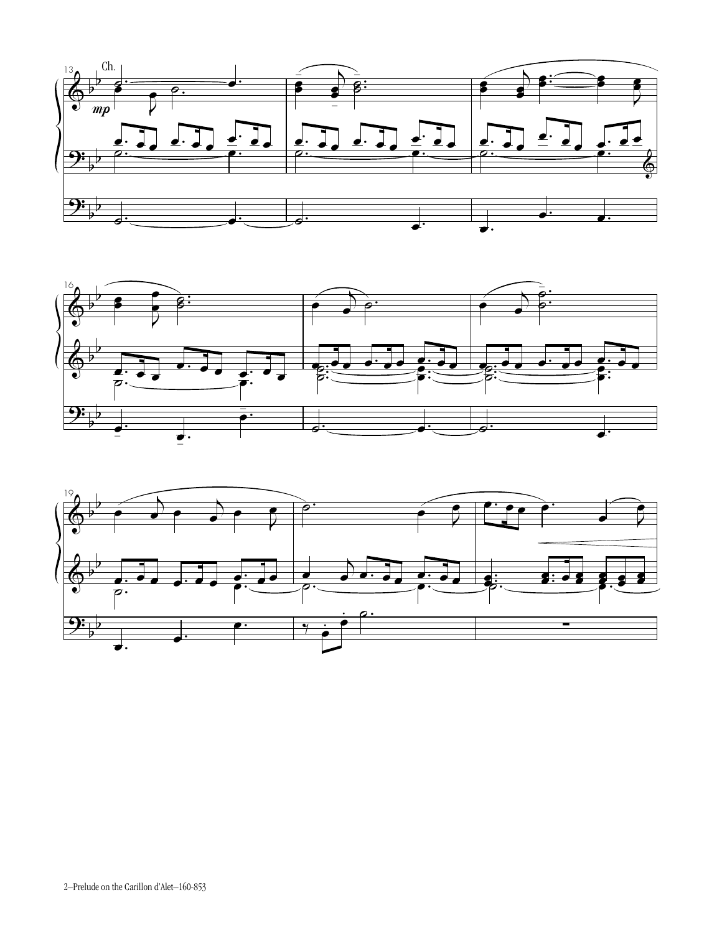



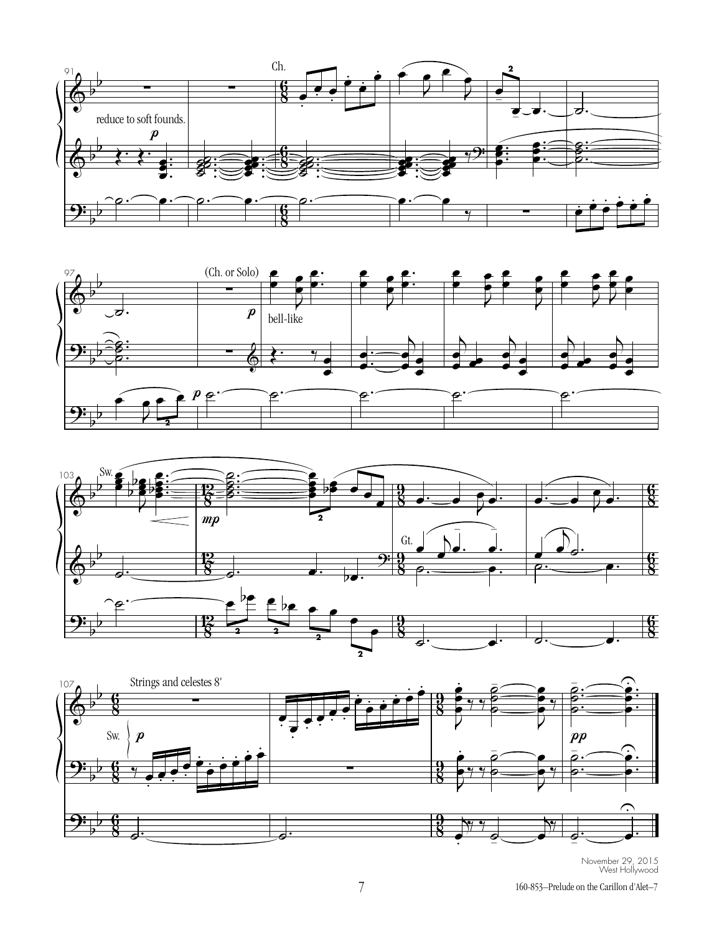







November 29, 2015<br>West Hollywood

160-853-Prelude on the Carillon d'Alet-7